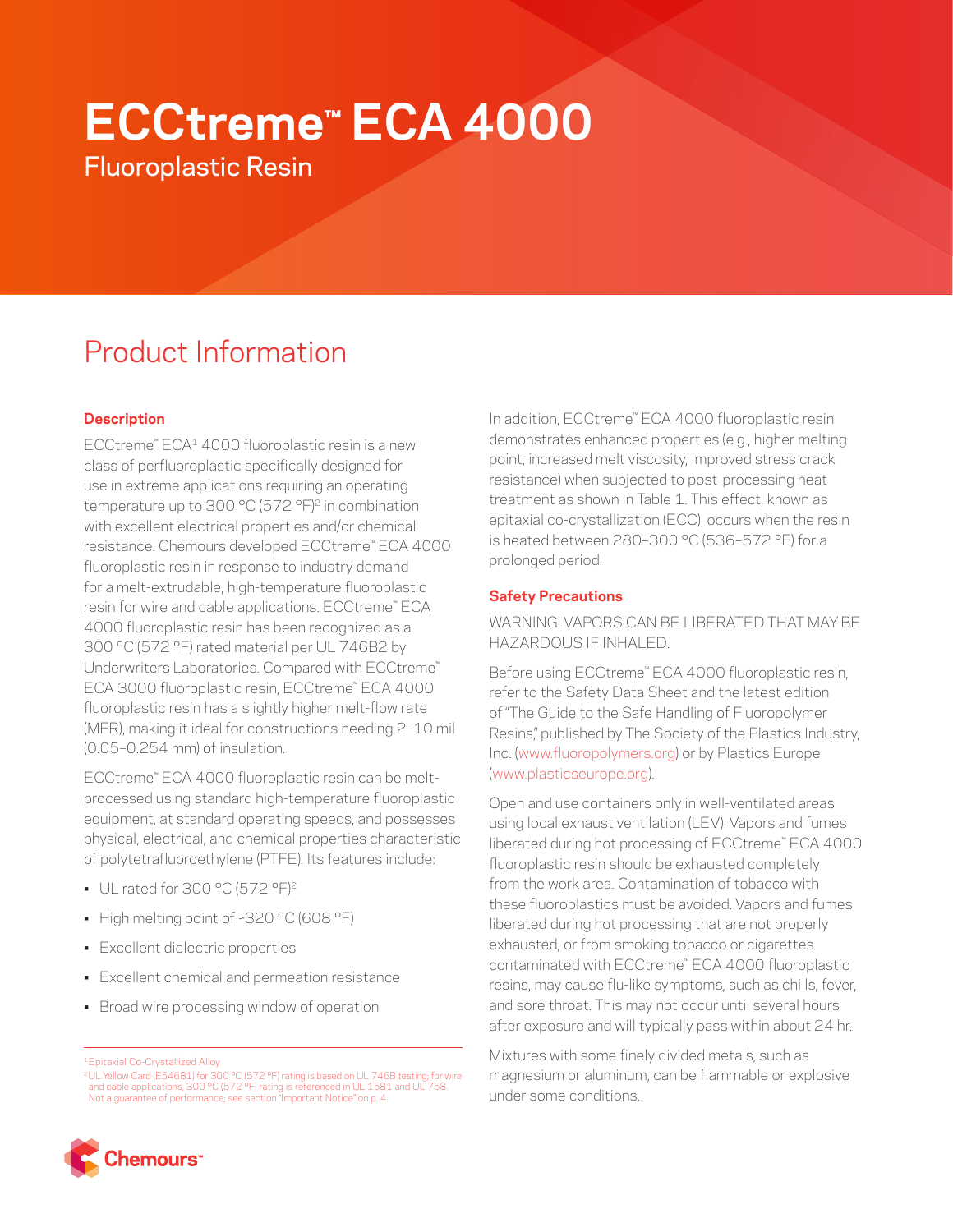# **ECCtreme™ ECA 4000**

Fluoroplastic Resin

# Product Information

## **Description**

ECCtreme™ ECA1 4000 fluoroplastic resin is a new class of perfluoroplastic specifically designed for use in extreme applications requiring an operating temperature up to 300 °C (572 °F)<sup>2</sup> in combination with excellent electrical properties and/or chemical resistance. Chemours developed ECCtreme™ ECA 4000 fluoroplastic resin in response to industry demand for a melt-extrudable, high-temperature fluoroplastic resin for wire and cable applications. ECCtreme™ ECA 4000 fluoroplastic resin has been recognized as a 300 °C (572 °F) rated material per UL 746B2 by Underwriters Laboratories. Compared with ECCtreme™ ECA 3000 fluoroplastic resin, ECCtreme™ ECA 4000 fluoroplastic resin has a slightly higher melt-flow rate (MFR), making it ideal for constructions needing 2–10 mil (0.05–0.254 mm) of insulation.

ECCtreme™ ECA 4000 fluoroplastic resin can be meltprocessed using standard high-temperature fluoroplastic equipment, at standard operating speeds, and possesses physical, electrical, and chemical properties characteristic of polytetrafluoroethylene (PTFE). Its features include:

- UL rated for 300 °C (572 °F)2
- High melting point of ~320 °C (608 °F)
- Excellent dielectric properties
- Excellent chemical and permeation resistance
- Broad wire processing window of operation

In addition, ECCtreme™ ECA 4000 fluoroplastic resin demonstrates enhanced properties (e.g., higher melting point, increased melt viscosity, improved stress crack resistance) when subjected to post-processing heat treatment as shown in Table 1. This effect, known as epitaxial co-crystallization (ECC), occurs when the resin is heated between 280–300 °C (536–572 °F) for a prolonged period.

### **Safety Precautions**

WARNING! VAPORS CAN BE LIBERATED THAT MAY BE HAZARDOUS IF INHALED.

Before using ECCtreme™ ECA 4000 fluoroplastic resin, refer to the Safety Data Sheet and the latest edition of "The Guide to the Safe Handling of Fluoropolymer Resins," published by The Society of the Plastics Industry, Inc. [\(www.fluoropolymers.org](http://www.fluoropolymers.org)) or by Plastics Europe [\(www.plasticseurope.org\)](http://www.plasticseurope.org).

Open and use containers only in well-ventilated areas using local exhaust ventilation (LEV). Vapors and fumes liberated during hot processing of ECCtreme™ ECA 4000 fluoroplastic resin should be exhausted completely from the work area. Contamination of tobacco with these fluoroplastics must be avoided. Vapors and fumes liberated during hot processing that are not properly exhausted, or from smoking tobacco or cigarettes contaminated with ECCtreme™ ECA 4000 fluoroplastic resins, may cause flu-like symptoms, such as chills, fever, and sore throat. This may not occur until several hours after exposure and will typically pass within about 24 hr.

Mixtures with some finely divided metals, such as magnesium or aluminum, can be flammable or explosive under some conditions.



<sup>1</sup>Epitaxial Co-Crystallized Alloy

<sup>&</sup>lt;sup>2</sup>UL Yellow Card (E54681) for 300 °C (572 °F) rating is based on UL 746B testing; for wire<br>and cable applications, 300 °C (572 °F) rating is referenced in UL 1581 and UL 758.<br>Not a guarantee of performance; see section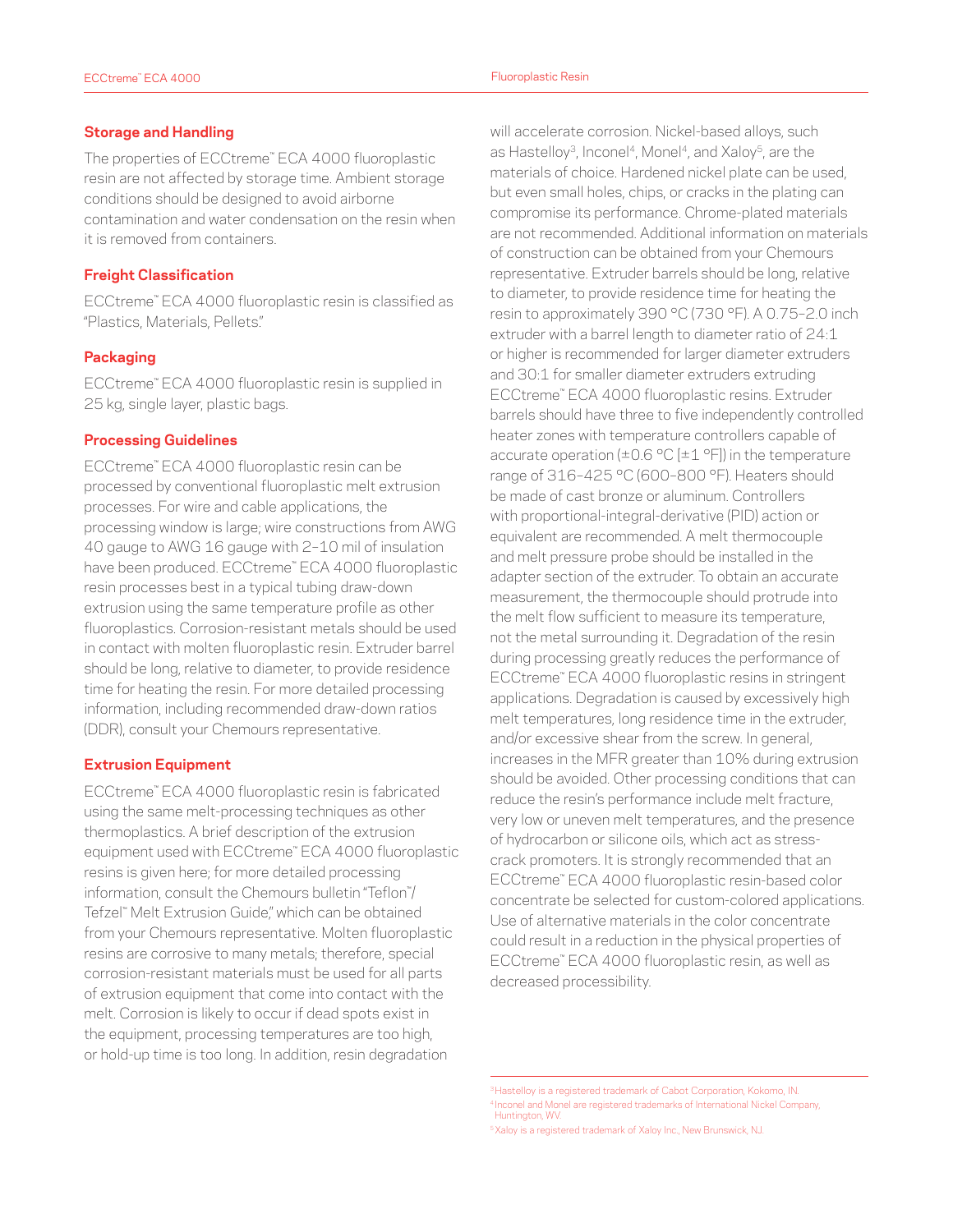The properties of ECCtreme™ ECA 4000 fluoroplastic resin are not affected by storage time. Ambient storage conditions should be designed to avoid airborne contamination and water condensation on the resin when it is removed from containers.

#### **Freight Classification**

ECCtreme™ ECA 4000 fluoroplastic resin is classified as "Plastics, Materials, Pellets."

#### **Packaging**

ECCtreme™ ECA 4000 fluoroplastic resin is supplied in 25 kg, single layer, plastic bags.

#### **Processing Guidelines**

ECCtreme™ ECA 4000 fluoroplastic resin can be processed by conventional fluoroplastic melt extrusion processes. For wire and cable applications, the processing window is large; wire constructions from AWG 40 gauge to AWG 16 gauge with 2–10 mil of insulation have been produced. ECCtreme™ ECA 4000 fluoroplastic resin processes best in a typical tubing draw-down extrusion using the same temperature profile as other fluoroplastics. Corrosion-resistant metals should be used in contact with molten fluoroplastic resin. Extruder barrel should be long, relative to diameter, to provide residence time for heating the resin. For more detailed processing information, including recommended draw-down ratios (DDR), consult your Chemours representative.

#### **Extrusion Equipment**

ECCtreme™ ECA 4000 fluoroplastic resin is fabricated using the same melt-processing techniques as other thermoplastics. A brief description of the extrusion equipment used with ECCtreme™ ECA 4000 fluoroplastic resins is given here; for more detailed processing information, consult the Chemours bulletin "Teflon™ / Tefzel™ Melt Extrusion Guide," which can be obtained from your Chemours representative. Molten fluoroplastic resins are corrosive to many metals; therefore, special corrosion-resistant materials must be used for all parts of extrusion equipment that come into contact with the melt. Corrosion is likely to occur if dead spots exist in the equipment, processing temperatures are too high, or hold-up time is too long. In addition, resin degradation

will accelerate corrosion. Nickel-based alloys, such as Hastelloy<sup>3</sup>, Inconel<sup>4</sup>, Monel<sup>4</sup>, and Xaloy<sup>5</sup>, are the materials of choice. Hardened nickel plate can be used, but even small holes, chips, or cracks in the plating can compromise its performance. Chrome-plated materials are not recommended. Additional information on materials of construction can be obtained from your Chemours representative. Extruder barrels should be long, relative to diameter, to provide residence time for heating the resin to approximately 390 °C (730 °F). A 0.75–2.0 inch extruder with a barrel length to diameter ratio of 24:1 or higher is recommended for larger diameter extruders and 30:1 for smaller diameter extruders extruding ECCtreme™ ECA 4000 fluoroplastic resins. Extruder barrels should have three to five independently controlled heater zones with temperature controllers capable of accurate operation ( $\pm 0.6$  °C [ $\pm 1$  °F]) in the temperature range of 316–425 °C (600–800 °F). Heaters should be made of cast bronze or aluminum. Controllers with proportional-integral-derivative (PID) action or equivalent are recommended. A melt thermocouple and melt pressure probe should be installed in the adapter section of the extruder. To obtain an accurate measurement, the thermocouple should protrude into the melt flow sufficient to measure its temperature, not the metal surrounding it. Degradation of the resin during processing greatly reduces the performance of ECCtreme™ ECA 4000 fluoroplastic resins in stringent applications. Degradation is caused by excessively high melt temperatures, long residence time in the extruder, and/or excessive shear from the screw. In general, increases in the MFR greater than 10% during extrusion should be avoided. Other processing conditions that can reduce the resin's performance include melt fracture, very low or uneven melt temperatures, and the presence of hydrocarbon or silicone oils, which act as stresscrack promoters. It is strongly recommended that an ECCtreme™ ECA 4000 fluoroplastic resin-based color concentrate be selected for custom-colored applications. Use of alternative materials in the color concentrate could result in a reduction in the physical properties of ECCtreme™ ECA 4000 fluoroplastic resin, as well as decreased processibility.

<sup>&</sup>lt;sup>3</sup> Hastelloy is a registered trademark of Cabot Corporation, Kokomo, IN. <sup>4</sup> Inconel and Monel are registered trademarks of International Nickel Company, Huntington, WV.

<sup>&</sup>lt;sup>5</sup>Xaloy is a registered trademark of Xaloy Inc., New Brunswick, NJ.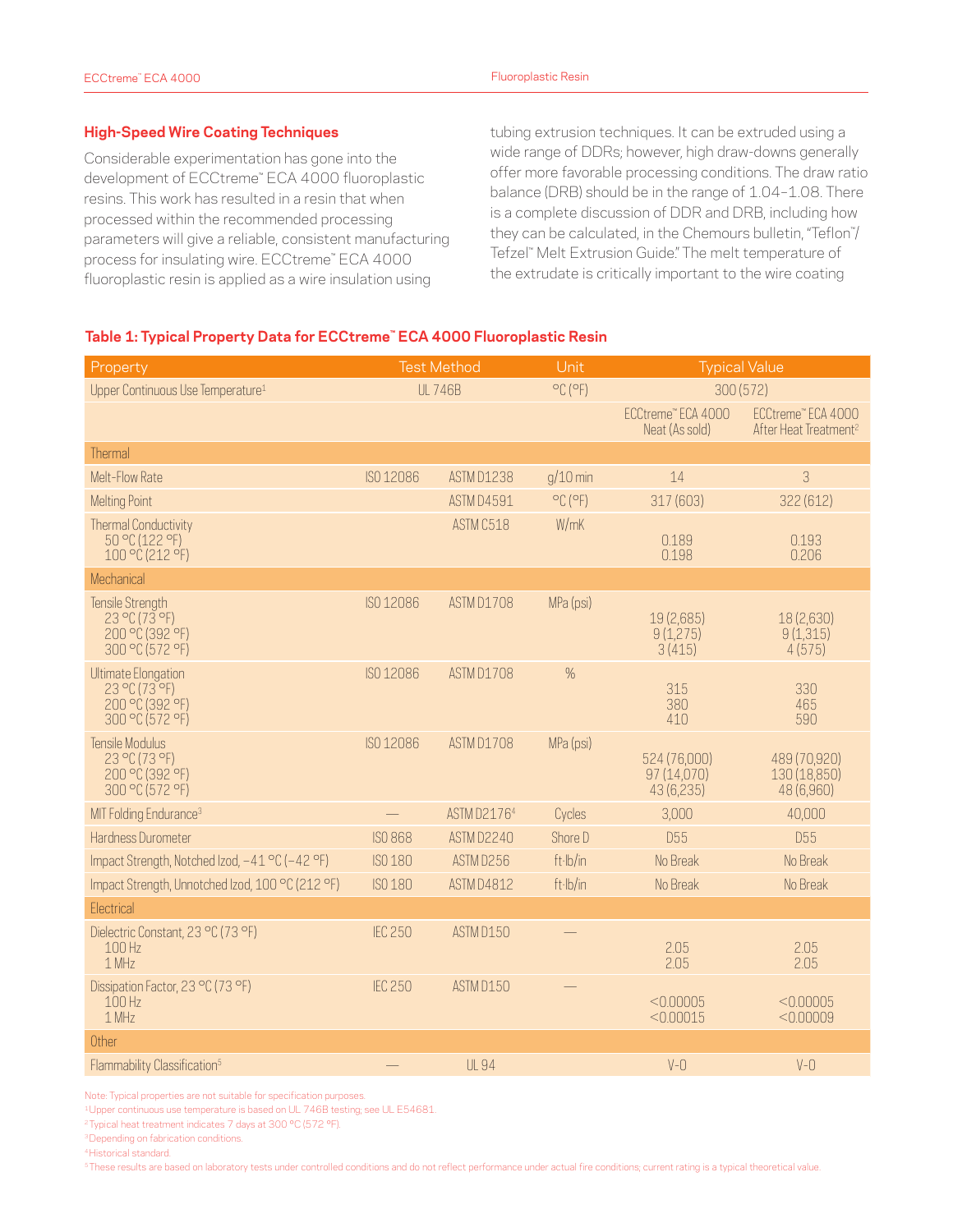#### **High-Speed Wire Coating Techniques**

Considerable experimentation has gone into the development of ECCtreme™ ECA 4000 fluoroplastic resins. This work has resulted in a resin that when processed within the recommended processing parameters will give a reliable, consistent manufacturing process for insulating wire. ECCtreme™ ECA 4000 fluoroplastic resin is applied as a wire insulation using

tubing extrusion techniques. It can be extruded using a wide range of DDRs; however, high draw-downs generally offer more favorable processing conditions. The draw ratio balance (DRB) should be in the range of 1.04–1.08. There is a complete discussion of DDR and DRB, including how they can be calculated, in the Chemours bulletin, "Teflon™ / Tefzel™ Melt Extrusion Guide." The melt temperature of the extrudate is critically important to the wire coating

#### **Table 1: Typical Property Data for ECCtreme™ ECA 4000 Fluoroplastic Resin**

| Property                                                                                | <b>Test Method</b> |                   | Unit                         | <b>Typical Value</b>                      |                                                         |
|-----------------------------------------------------------------------------------------|--------------------|-------------------|------------------------------|-------------------------------------------|---------------------------------------------------------|
| Upper Continuous Use Temperature <sup>1</sup>                                           | <b>UL746B</b>      |                   | $^{\circ}$ C ( $^{\circ}$ F) | 300 (572)                                 |                                                         |
|                                                                                         |                    |                   |                              | ECCtreme" ECA 4000<br>Neat (As sold)      | ECCtreme" ECA 4000<br>After Heat Treatment <sup>2</sup> |
| Thermal                                                                                 |                    |                   |                              |                                           |                                                         |
| Melt-Flow Rate                                                                          | ISO 12086          | <b>ASTM D1238</b> | $q/10$ min                   | 14                                        | 3                                                       |
| <b>Melting Point</b>                                                                    |                    | ASTM D4591        | $^{\circ}$ C ( $^{\circ}$ F) | 317 (603)                                 | 322 (612)                                               |
| <b>Thermal Conductivity</b><br>50 °C (122 °F)<br>100 °C (212 °F)                        |                    | ASTM C518         | W/mK                         | 0.189<br>0.198                            | 0.193<br>0.206                                          |
| Mechanical                                                                              |                    |                   |                              |                                           |                                                         |
| Tensile Strength<br>23 °C (73 °F)<br>200 °C (392 °F)<br>300 °C (572 °F)                 | ISO 12086          | ASTM D1708        | MPa (psi)                    | 19 (2,685)<br>9(1,275)<br>3(415)          | 18 (2,630)<br>9(1,315)<br>4(575)                        |
| Ultimate Elongation<br>$23^{\circ}C(73^{\circ}F)$<br>200 °C (392 °F)<br>300 °C (572 °F) | ISO 12086          | ASTM D1708        | $\%$                         | 315<br>380<br>410                         | 330<br>465<br>590                                       |
| Tensile Modulus<br>23 °C (73 °F)<br>200 °C (392 °F)<br>300 °C (572 °F)                  | ISO 12086          | ASTM D1708        | MPa (psi)                    | 524 (76,000)<br>97 (14.070)<br>43 (6,235) | 489 (70,920)<br>130 (18,850)<br>48 (6,960)              |
| MIT Folding Endurance <sup>3</sup>                                                      |                    | ASTM D21764       | Cycles                       | 3,000                                     | 40,000                                                  |
| Hardness Durometer                                                                      | <b>ISO 868</b>     | ASTM D2240        | Shore D                      | <b>D55</b>                                | <b>D55</b>                                              |
| Impact Strength, Notched Izod, -41 °C (-42 °F)                                          | ISO 180            | ASTM D256         | ft·lb/in                     | No Break                                  | No Break                                                |
| Impact Strength, Unnotched Izod, 100 °C (212 °F)                                        | ISO 180            | <b>ASTM D4812</b> | ft·lb/in                     | No Break                                  | No Break                                                |
| Electrical                                                                              |                    |                   |                              |                                           |                                                         |
| Dielectric Constant, 23 °C (73 °F)<br>100 Hz<br>1 MHz                                   | <b>IEC 250</b>     | ASTM D150         |                              | 2.05<br>2.05                              | 2.05<br>2.05                                            |
| Dissipation Factor, 23 °C (73 °F)<br>100H <sub>z</sub><br>1 MHz                         | <b>IEC 250</b>     | ASTM D150         |                              | < 0.00005<br>< 0.00015                    | < 0.00005<br>< 0.00009                                  |
| Other                                                                                   |                    |                   |                              |                                           |                                                         |
| Flammability Classification <sup>5</sup>                                                |                    | <b>UL 94</b>      |                              | $V - Q$                                   | $V - Q$                                                 |

Note: Typical properties are not suitable for specification purposes.

1Upper continuous use temperature is based on UL 746B testing; see UL E54681.

<sup>2</sup> Typical heat treatment indicates 7 days at 300 °C (572 °F).

3Depending on fabrication conditions.

4Historical standard.

<sup>5</sup>These results are based on laboratory tests under controlled conditions and do not reflect performance under actual fire conditions; current rating is a typical theoretical value.